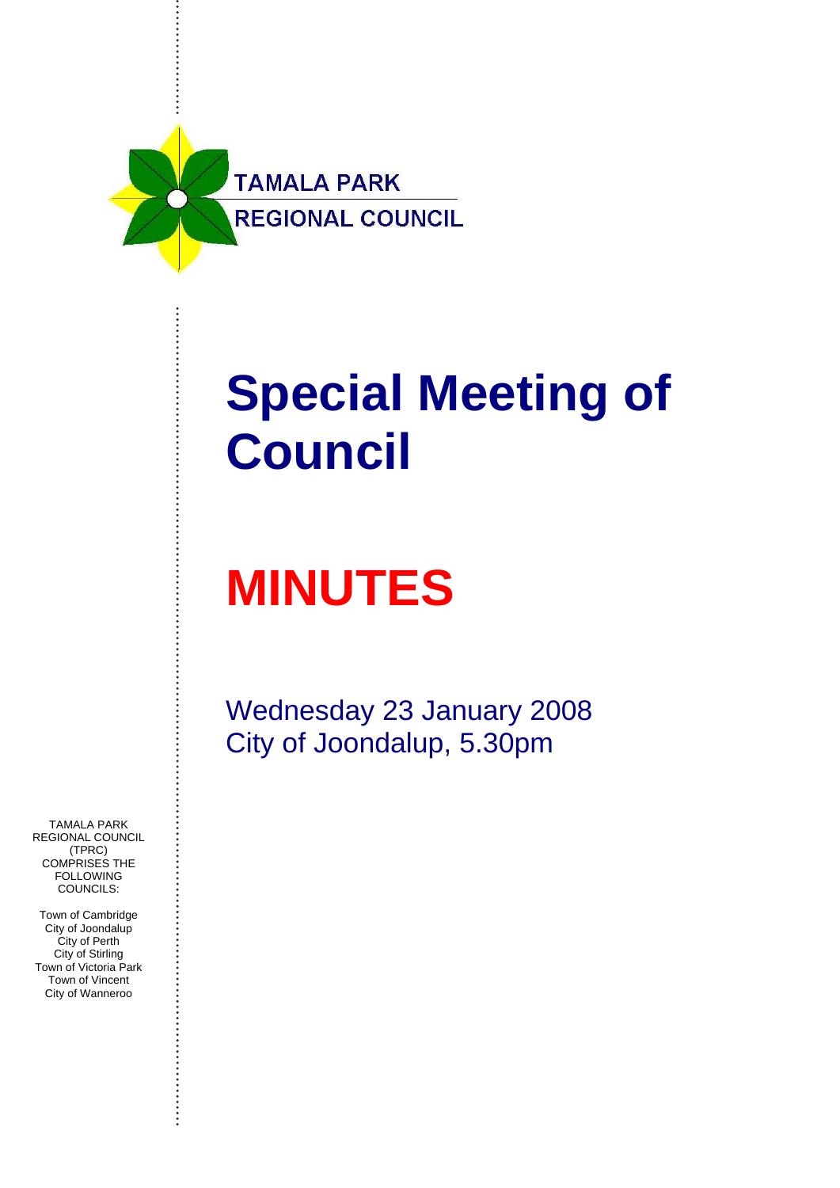

# **Special Meeting of Council**

# **MINUTES**

Wednesday 23 January 2008 City of Joondalup, 5.30pm

TAMALA PARK REGIONAL COUNCIL (TPRC) COMPRISES THE **FOLLOWING** COUNCILS:

Town of Cambridge City of Joondalup City of Perth City of Stirling Town of Victoria Park Town of Vincent City of Wanneroo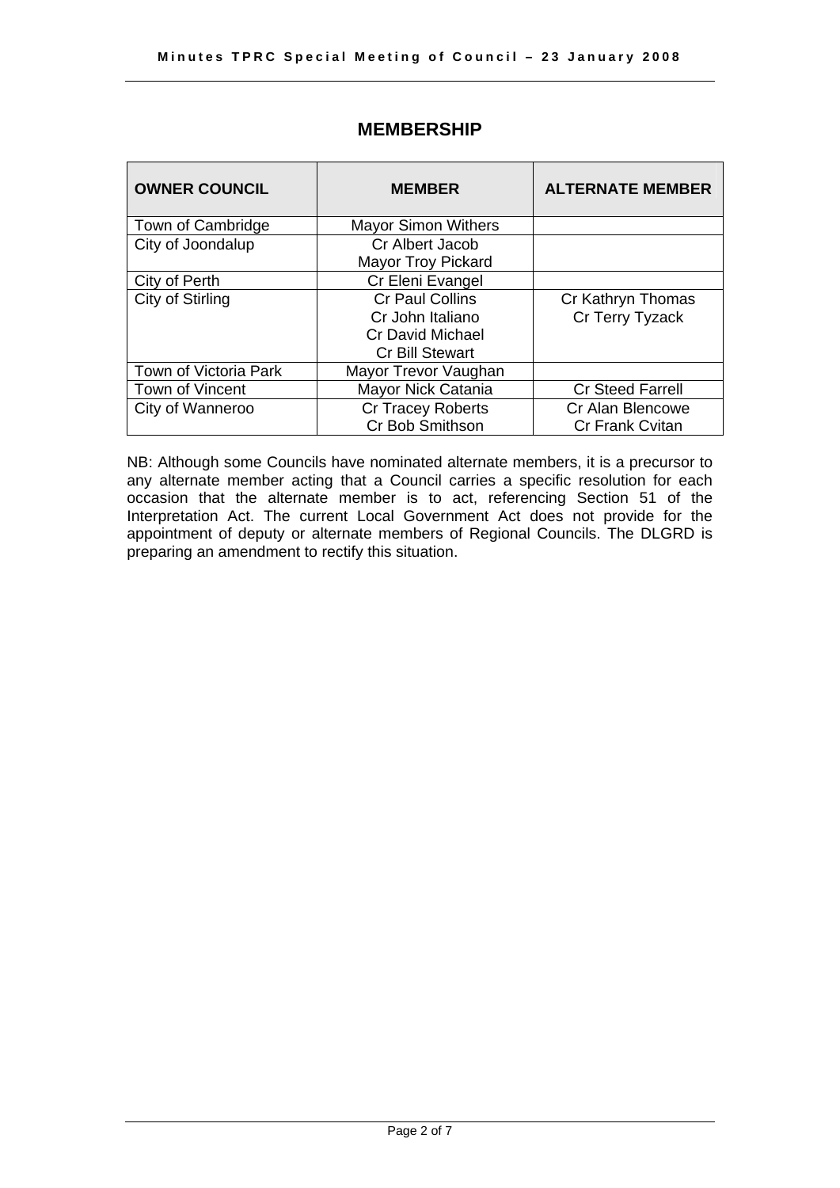<span id="page-1-0"></span>

| <b>OWNER COUNCIL</b>  | <b>MEMBER</b>              | <b>ALTERNATE MEMBER</b> |
|-----------------------|----------------------------|-------------------------|
| Town of Cambridge     | <b>Mayor Simon Withers</b> |                         |
| City of Joondalup     | Cr Albert Jacob            |                         |
|                       | <b>Mayor Troy Pickard</b>  |                         |
| City of Perth         | Cr Eleni Evangel           |                         |
| City of Stirling      | <b>Cr Paul Collins</b>     | Cr Kathryn Thomas       |
|                       | Cr John Italiano           | Cr Terry Tyzack         |
|                       | <b>Cr David Michael</b>    |                         |
|                       | <b>Cr Bill Stewart</b>     |                         |
| Town of Victoria Park | Mayor Trevor Vaughan       |                         |
| Town of Vincent       | Mayor Nick Catania         | <b>Cr Steed Farrell</b> |
| City of Wanneroo      | Cr Tracey Roberts          | Cr Alan Blencowe        |
|                       | Cr Bob Smithson            | <b>Cr Frank Cvitan</b>  |

### **MEMBERSHIP**

NB: Although some Councils have nominated alternate members, it is a precursor to any alternate member acting that a Council carries a specific resolution for each occasion that the alternate member is to act, referencing Section 51 of the Interpretation Act. The current Local Government Act does not provide for the appointment of deputy or alternate members of Regional Councils. The DLGRD is preparing an amendment to rectify this situation.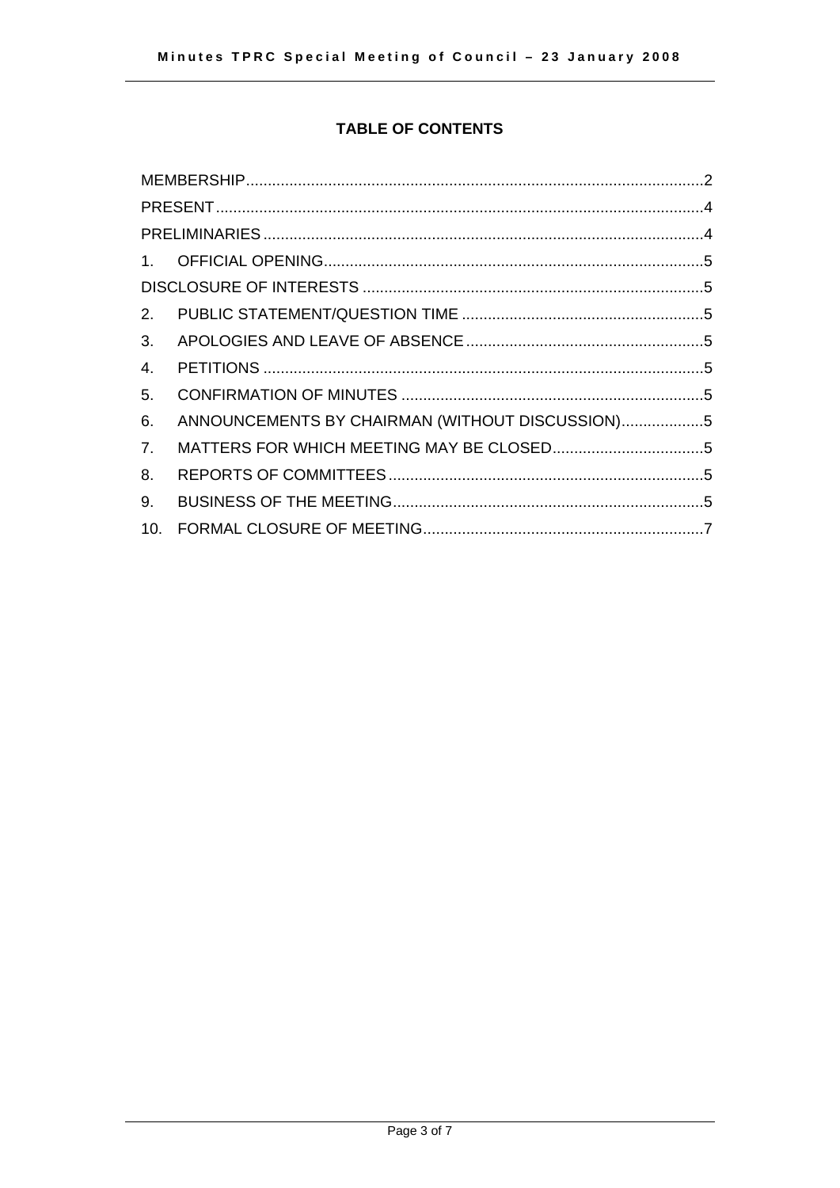### **TABLE OF CONTENTS**

| 2 <sub>1</sub> |                                                 |  |
|----------------|-------------------------------------------------|--|
| 3.             |                                                 |  |
| 4.             |                                                 |  |
| 5.             |                                                 |  |
| 6.             | ANNOUNCEMENTS BY CHAIRMAN (WITHOUT DISCUSSION)5 |  |
| 7.             |                                                 |  |
| 8.             |                                                 |  |
|                |                                                 |  |
| 9.             |                                                 |  |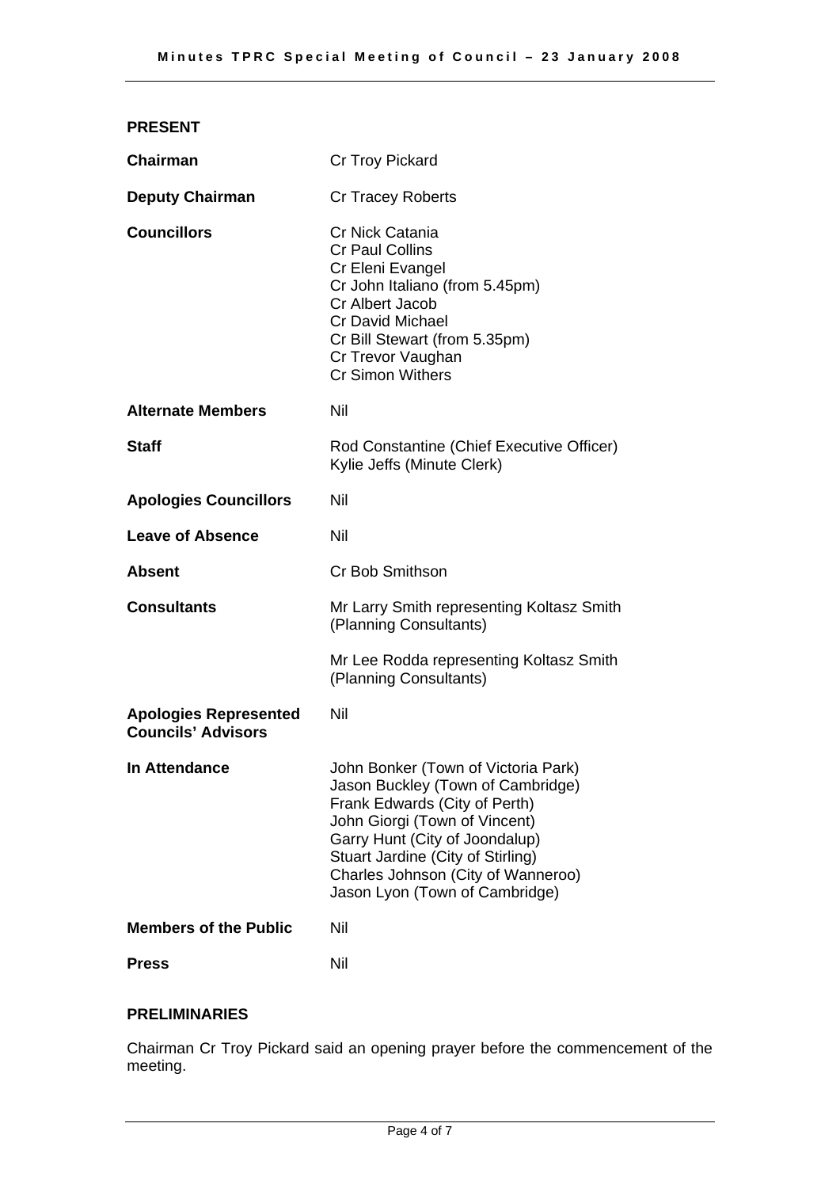<span id="page-3-0"></span>

| <b>PRESENT</b>                                            |                                                                                                                                                                                                                                |
|-----------------------------------------------------------|--------------------------------------------------------------------------------------------------------------------------------------------------------------------------------------------------------------------------------|
| <b>Chairman</b>                                           | Cr Troy Pickard                                                                                                                                                                                                                |
| <b>Deputy Chairman</b>                                    | <b>Cr Tracey Roberts</b>                                                                                                                                                                                                       |
| <b>Councillors</b>                                        | Cr Nick Catania<br><b>Cr Paul Collins</b><br>Cr Eleni Evangel<br>Cr John Italiano (from 5.45pm)<br>Cr Albert Jacob<br><b>Cr David Michael</b><br>Cr Bill Stewart (from 5.35pm)<br>Cr Trevor Vaughan<br><b>Cr Simon Withers</b> |
| <b>Alternate Members</b>                                  | Nil                                                                                                                                                                                                                            |
| <b>Staff</b>                                              | Rod Constantine (Chief Executive Officer)<br>Kylie Jeffs (Minute Clerk)                                                                                                                                                        |
| <b>Apologies Councillors</b>                              | Nil                                                                                                                                                                                                                            |
| <b>Leave of Absence</b>                                   | Nil                                                                                                                                                                                                                            |
| <b>Absent</b>                                             | <b>Cr Bob Smithson</b>                                                                                                                                                                                                         |
| <b>Consultants</b>                                        | Mr Larry Smith representing Koltasz Smith<br>(Planning Consultants)                                                                                                                                                            |
|                                                           | Mr Lee Rodda representing Koltasz Smith<br>(Planning Consultants)                                                                                                                                                              |
| <b>Apologies Represented</b><br><b>Councils' Advisors</b> | Nil                                                                                                                                                                                                                            |
| <b>In Attendance</b>                                      | John Bonker (Town of Victoria Park)<br>Jason Buckley (Town of Cambridge)<br>Frank Edwards (City of Perth)<br>John Giorgi (Town of Vincent)<br>Garry Hunt (City of Joondalup)<br>Stuart Jardine (City of Stirling)              |

## **Members of the Public Nill**

**Press** Nil

#### **PRELIMINARIES**

Chairman Cr Troy Pickard said an opening prayer before the commencement of the meeting.

Charles Johnson (City of Wanneroo) Jason Lyon (Town of Cambridge)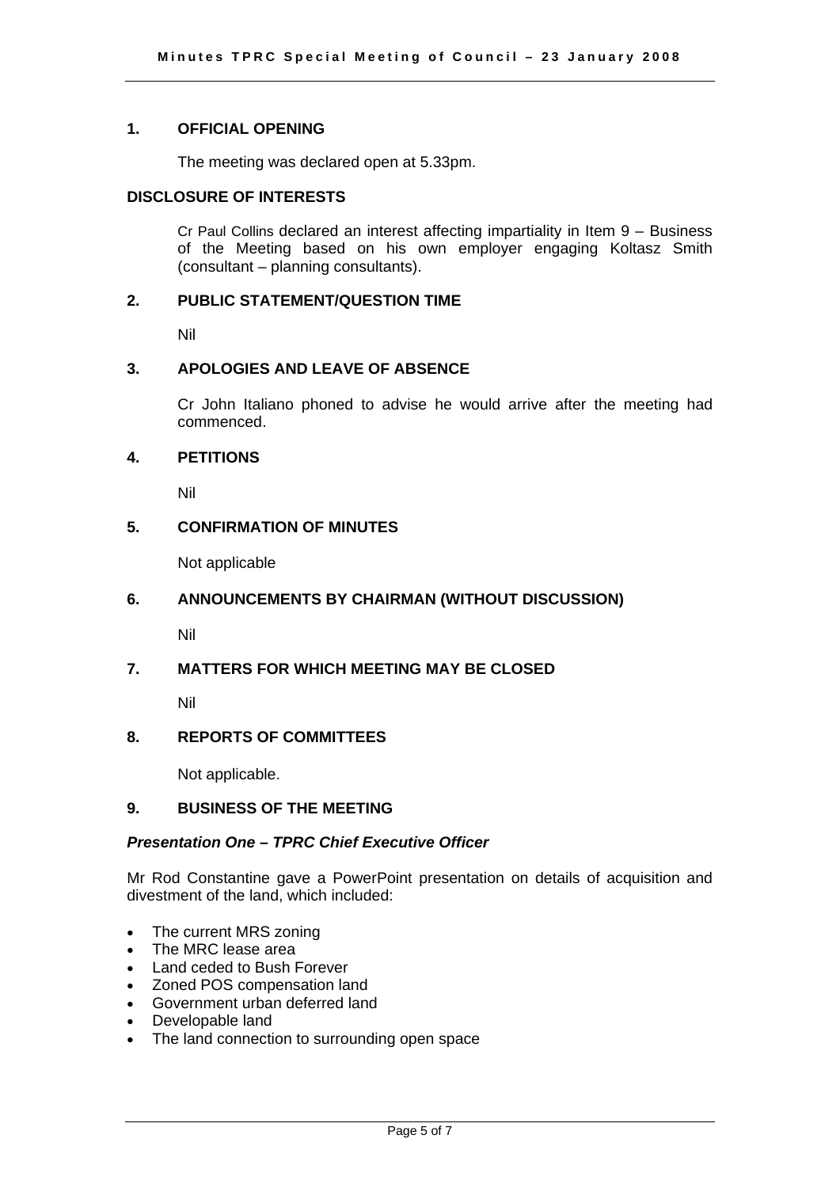#### <span id="page-4-0"></span>**1. OFFICIAL OPENING**

The meeting was declared open at 5.33pm.

#### **DISCLOSURE OF INTERESTS**

 Cr Paul Collins declared an interest affecting impartiality in Item 9 – Business of the Meeting based on his own employer engaging Koltasz Smith (consultant – planning consultants).

#### **2. PUBLIC STATEMENT/QUESTION TIME**

Nil

#### **3. APOLOGIES AND LEAVE OF ABSENCE**

 Cr John Italiano phoned to advise he would arrive after the meeting had commenced.

#### **4. PETITIONS**

Nil

#### **5. CONFIRMATION OF MINUTES**

Not applicable

#### **6. ANNOUNCEMENTS BY CHAIRMAN (WITHOUT DISCUSSION)**

Nil

#### **7. MATTERS FOR WHICH MEETING MAY BE CLOSED**

Nil

#### **8. REPORTS OF COMMITTEES**

Not applicable.

#### **9. BUSINESS OF THE MEETING**

#### *Presentation One – TPRC Chief Executive Officer*

Mr Rod Constantine gave a PowerPoint presentation on details of acquisition and divestment of the land, which included:

- The current MRS zoning
- The MRC lease area
- Land ceded to Bush Forever
- Zoned POS compensation land
- Government urban deferred land
- Developable land
- The land connection to surrounding open space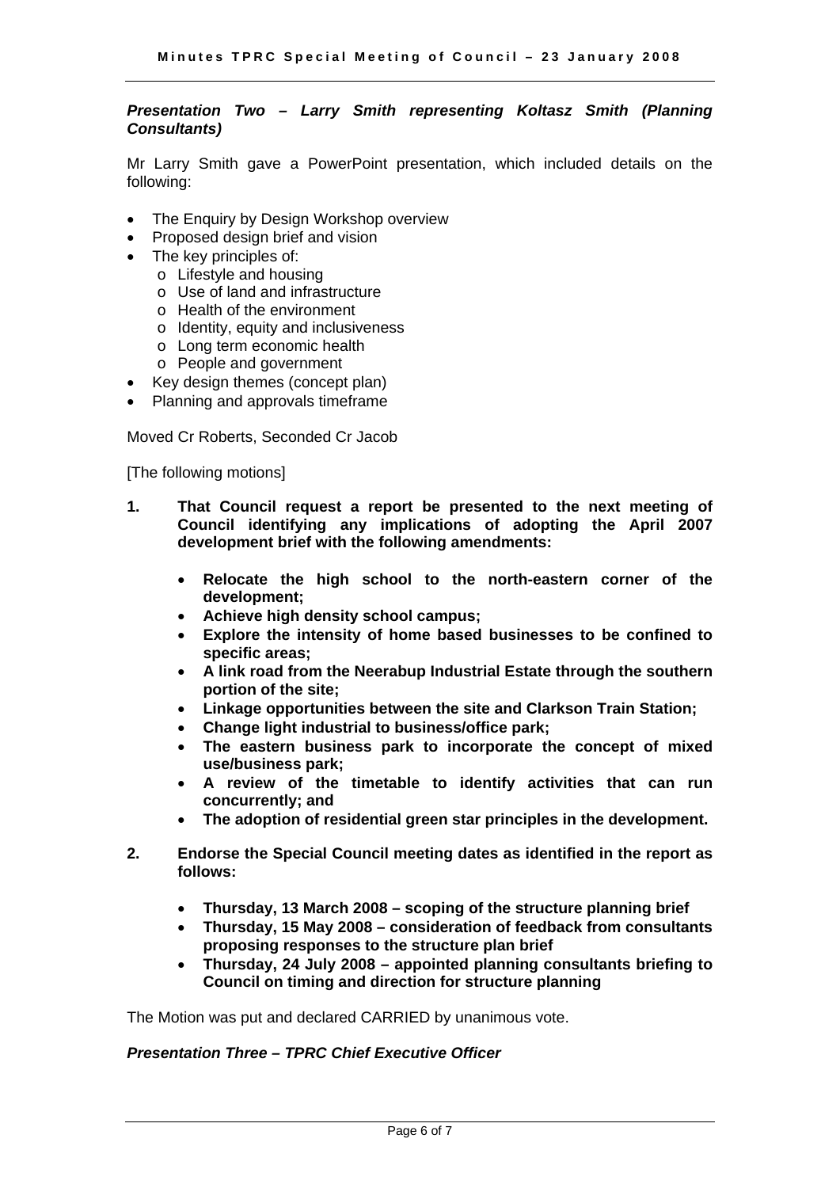#### *Presentation Two – Larry Smith representing Koltasz Smith (Planning Consultants)*

Mr Larry Smith gave a PowerPoint presentation, which included details on the following:

- The Enquiry by Design Workshop overview
- Proposed design brief and vision
- The key principles of:
	- o Lifestyle and housing
	- o Use of land and infrastructure
	- o Health of the environment
	- o Identity, equity and inclusiveness
	- o Long term economic health
	- o People and government
- Key design themes (concept plan)
- Planning and approvals timeframe

Moved Cr Roberts, Seconded Cr Jacob

[The following motions]

- **1. That Council request a report be presented to the next meeting of Council identifying any implications of adopting the April 2007 development brief with the following amendments:** 
	- **Relocate the high school to the north-eastern corner of the development;**
	- **Achieve high density school campus;**
	- **Explore the intensity of home based businesses to be confined to specific areas;**
	- **A link road from the Neerabup Industrial Estate through the southern portion of the site;**
	- **Linkage opportunities between the site and Clarkson Train Station;**
	- **Change light industrial to business/office park;**
	- **The eastern business park to incorporate the concept of mixed use/business park;**
	- **A review of the timetable to identify activities that can run concurrently; and**
	- **The adoption of residential green star principles in the development.**
- **2. Endorse the Special Council meeting dates as identified in the report as follows:** 
	- **Thursday, 13 March 2008 scoping of the structure planning brief**
	- **Thursday, 15 May 2008 consideration of feedback from consultants proposing responses to the structure plan brief**
	- **Thursday, 24 July 2008 appointed planning consultants briefing to Council on timing and direction for structure planning**

The Motion was put and declared CARRIED by unanimous vote.

#### *Presentation Three – TPRC Chief Executive Officer*